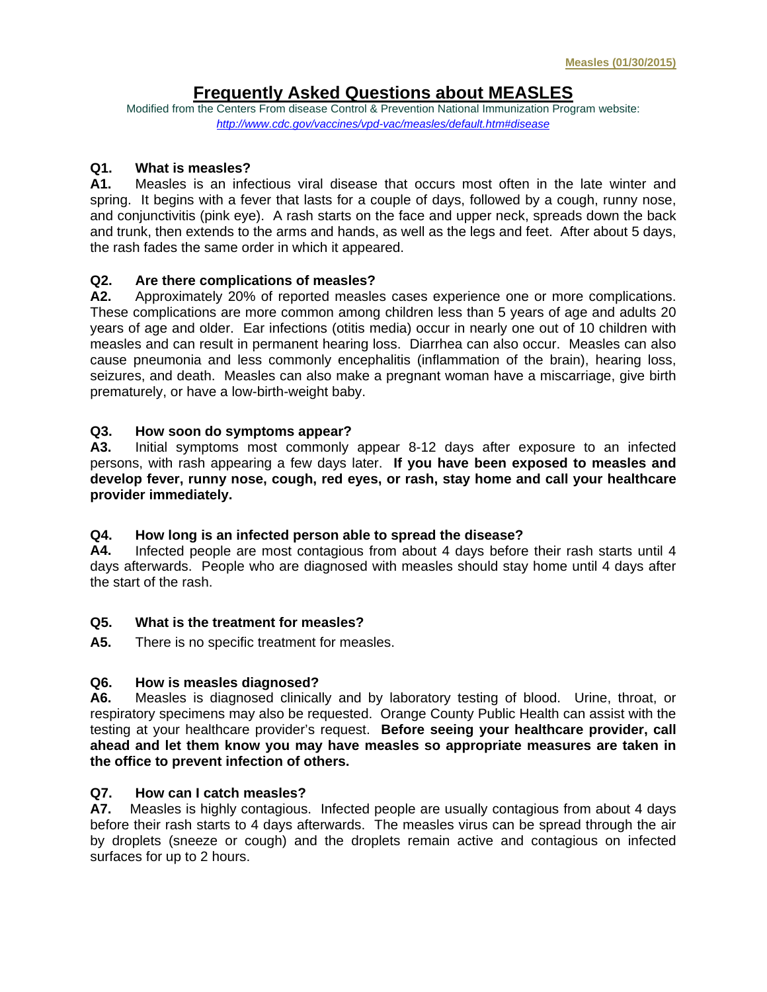# **Frequently Asked Questions about MEASLES**

Modified from the Centers From disease Control & Prevention National Immunization Program website: *http://www.cdc.gov/vaccines/vpd-vac/measles/default.htm#disease*

### **Q1. What is measles?**

**A1.** Measles is an infectious viral disease that occurs most often in the late winter and spring. It begins with a fever that lasts for a couple of days, followed by a cough, runny nose, and conjunctivitis (pink eye). A rash starts on the face and upper neck, spreads down the back and trunk, then extends to the arms and hands, as well as the legs and feet. After about 5 days, the rash fades the same order in which it appeared.

### **Q2. Are there complications of measles?**

**A2.** Approximately 20% of reported measles cases experience one or more complications. These complications are more common among children less than 5 years of age and adults 20 years of age and older. Ear infections (otitis media) occur in nearly one out of 10 children with measles and can result in permanent hearing loss. Diarrhea can also occur. Measles can also cause pneumonia and less commonly encephalitis (inflammation of the brain), hearing loss, seizures, and death. Measles can also make a pregnant woman have a miscarriage, give birth prematurely, or have a low-birth-weight baby.

### **Q3. How soon do symptoms appear?**

**A3.** Initial symptoms most commonly appear 8-12 days after exposure to an infected persons, with rash appearing a few days later. **If you have been exposed to measles and develop fever, runny nose, cough, red eyes, or rash, stay home and call your healthcare provider immediately.** 

### **Q4. How long is an infected person able to spread the disease?**

**A4.** Infected people are most contagious from about 4 days before their rash starts until 4 days afterwards. People who are diagnosed with measles should stay home until 4 days after the start of the rash.

### **Q5. What is the treatment for measles?**

**A5.** There is no specific treatment for measles.

### **Q6. How is measles diagnosed?**

**A6.** Measles is diagnosed clinically and by laboratory testing of blood. Urine, throat, or respiratory specimens may also be requested. Orange County Public Health can assist with the testing at your healthcare provider's request. **Before seeing your healthcare provider, call ahead and let them know you may have measles so appropriate measures are taken in the office to prevent infection of others.** 

### **Q7. How can I catch measles?**

**A7.** Measles is highly contagious. Infected people are usually contagious from about 4 days before their rash starts to 4 days afterwards. The measles virus can be spread through the air by droplets (sneeze or cough) and the droplets remain active and contagious on infected surfaces for up to 2 hours.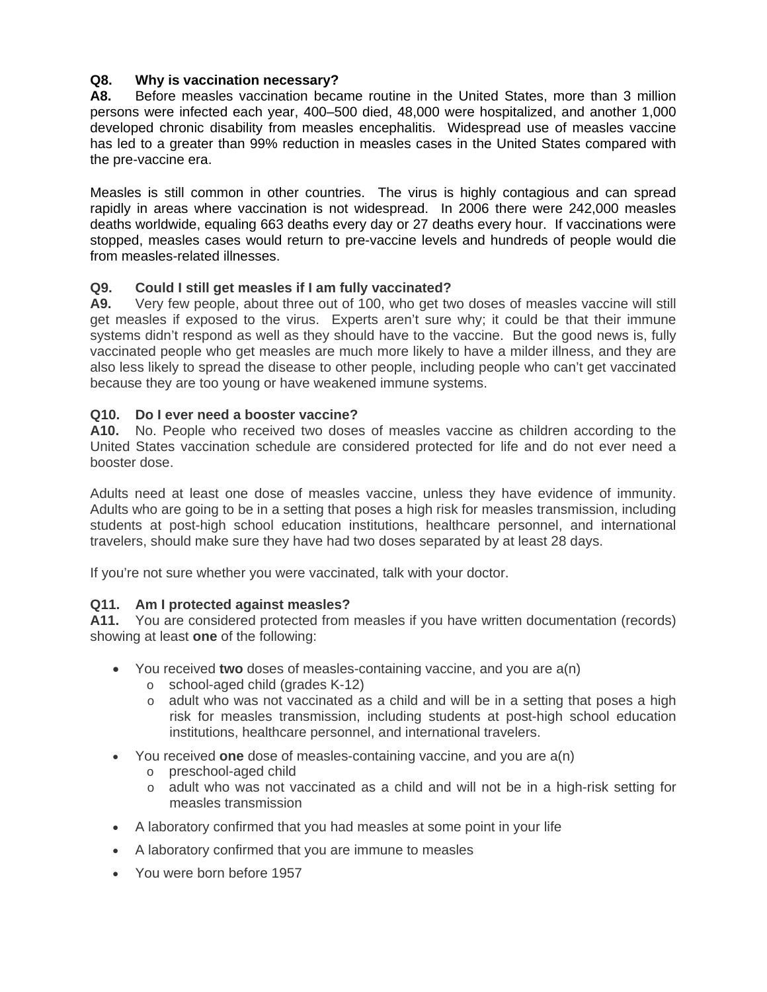## **Q8. Why is vaccination necessary?**

**A8.** Before measles vaccination became routine in the United States, more than 3 million persons were infected each year, 400–500 died, 48,000 were hospitalized, and another 1,000 developed chronic disability from measles encephalitis. Widespread use of measles vaccine has led to a greater than 99% reduction in measles cases in the United States compared with the pre-vaccine era.

Measles is still common in other countries. The virus is highly contagious and can spread rapidly in areas where vaccination is not widespread. In 2006 there were 242,000 measles deaths worldwide, equaling 663 deaths every day or 27 deaths every hour. If vaccinations were stopped, measles cases would return to pre-vaccine levels and hundreds of people would die from measles-related illnesses.

## **Q9. Could I still get measles if I am fully vaccinated?**

**A9.** Very few people, about three out of 100, who get two doses of measles vaccine will still get measles if exposed to the virus. Experts aren't sure why; it could be that their immune systems didn't respond as well as they should have to the vaccine. But the good news is, fully vaccinated people who get measles are much more likely to have a milder illness, and they are also less likely to spread the disease to other people, including people who can't get vaccinated because they are too young or have weakened immune systems.

## **Q10. Do I ever need a booster vaccine?**

**A10.** No. People who received two doses of measles vaccine as children according to the United States vaccination schedule are considered protected for life and do not ever need a booster dose.

Adults need at least one dose of measles vaccine, unless they have evidence of immunity. Adults who are going to be in a setting that poses a high risk for measles transmission, including students at post-high school education institutions, healthcare personnel, and international travelers, should make sure they have had two doses separated by at least 28 days.

If you're not sure whether you were vaccinated, talk with your doctor.

## **Q11. Am I protected against measles?**

**A11.** You are considered protected from measles if you have written documentation (records) showing at least **one** of the following:

- You received **two** doses of measles-containing vaccine, and you are a(n)
	- o school-aged child (grades K-12)
	- $\circ$  adult who was not vaccinated as a child and will be in a setting that poses a high risk for measles transmission, including students at post-high school education institutions, healthcare personnel, and international travelers.
- You received **one** dose of measles-containing vaccine, and you are a(n)
	- o preschool-aged child
	- o adult who was not vaccinated as a child and will not be in a high-risk setting for measles transmission
- A laboratory confirmed that you had measles at some point in your life
- A laboratory confirmed that you are immune to measles
- You were born before 1957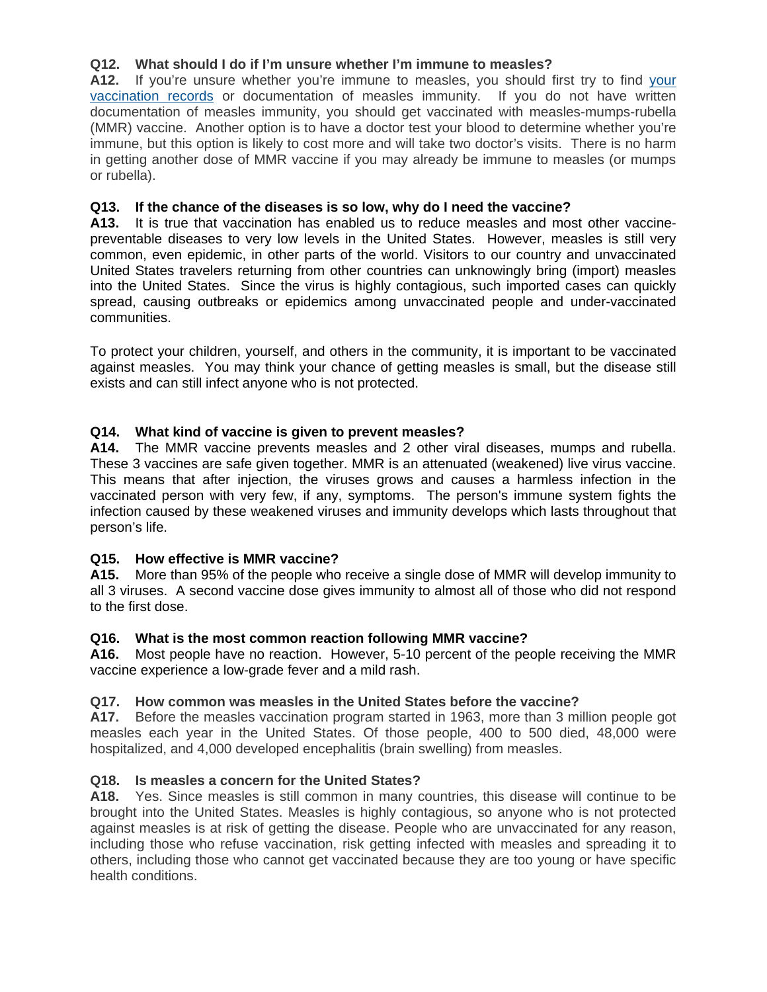## **Q12. What should I do if I'm unsure whether I'm immune to measles?**

**A12.** If you're unsure whether you're immune to measles, you should first try to find your vaccination records or documentation of measles immunity. If you do not have written documentation of measles immunity, you should get vaccinated with measles-mumps-rubella (MMR) vaccine. Another option is to have a doctor test your blood to determine whether you're immune, but this option is likely to cost more and will take two doctor's visits. There is no harm in getting another dose of MMR vaccine if you may already be immune to measles (or mumps or rubella).

## **Q13. If the chance of the diseases is so low, why do I need the vaccine?**

**A13.** It is true that vaccination has enabled us to reduce measles and most other vaccinepreventable diseases to very low levels in the United States. However, measles is still very common, even epidemic, in other parts of the world. Visitors to our country and unvaccinated United States travelers returning from other countries can unknowingly bring (import) measles into the United States. Since the virus is highly contagious, such imported cases can quickly spread, causing outbreaks or epidemics among unvaccinated people and under-vaccinated communities.

To protect your children, yourself, and others in the community, it is important to be vaccinated against measles. You may think your chance of getting measles is small, but the disease still exists and can still infect anyone who is not protected.

## **Q14. What kind of vaccine is given to prevent measles?**

**A14.** The MMR vaccine prevents measles and 2 other viral diseases, mumps and rubella. These 3 vaccines are safe given together. MMR is an attenuated (weakened) live virus vaccine. This means that after injection, the viruses grows and causes a harmless infection in the vaccinated person with very few, if any, symptoms. The person's immune system fights the infection caused by these weakened viruses and immunity develops which lasts throughout that person's life.

## **Q15. How effective is MMR vaccine?**

**A15.** More than 95% of the people who receive a single dose of MMR will develop immunity to all 3 viruses. A second vaccine dose gives immunity to almost all of those who did not respond to the first dose.

## **Q16. What is the most common reaction following MMR vaccine?**

**A16.** Most people have no reaction. However, 5-10 percent of the people receiving the MMR vaccine experience a low-grade fever and a mild rash.

## **Q17. How common was measles in the United States before the vaccine?**

**A17.** Before the measles vaccination program started in 1963, more than 3 million people got measles each year in the United States. Of those people, 400 to 500 died, 48,000 were hospitalized, and 4,000 developed encephalitis (brain swelling) from measles.

## **Q18. Is measles a concern for the United States?**

**A18.** Yes. Since measles is still common in many countries, this disease will continue to be brought into the United States. Measles is highly contagious, so anyone who is not protected against measles is at risk of getting the disease. People who are unvaccinated for any reason, including those who refuse vaccination, risk getting infected with measles and spreading it to others, including those who cannot get vaccinated because they are too young or have specific health conditions.